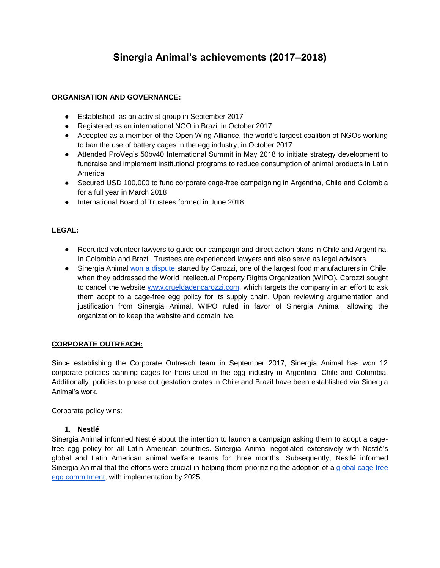# **Sinergia Animal's achievements (2017–2018)**

# **ORGANISATION AND GOVERNANCE:**

- Established as an activist group in September 2017
- Registered as an international NGO in Brazil in October 2017
- Accepted as a member of the Open Wing Alliance, the world's largest coalition of NGOs working to ban the use of battery cages in the egg industry, in October 2017
- Attended ProVeg's 50by40 International Summit in May 2018 to initiate strategy development to fundraise and implement institutional programs to reduce consumption of animal products in Latin America
- Secured USD 100,000 to fund corporate cage-free campaigning in Argentina, Chile and Colombia for a full year in March 2018
- International Board of Trustees formed in June 2018

# **LEGAL:**

- Recruited volunteer lawyers to guide our campaign and direct action plans in Chile and Argentina. In Colombia and Brazil, Trustees are experienced lawyers and also serve as legal advisors.
- Sinergia Animal [won a dispute](https://www.sinergiaanimal.org/single-post/2018/01/22/Activistas-protestan-contra-la-crueldad-animal-en-las-cafeter%C3%ADas-Bonafide) started by Carozzi, one of the largest food manufacturers in Chile, when they addressed the World Intellectual Property Rights Organization (WIPO). Carozzi sought to cancel the website [www.crueldadencarozzi.com,](http://www.crueldadencarozzi.com/) which targets the company in an effort to ask them adopt to a cage-free egg policy for its supply chain. Upon reviewing argumentation and justification from Sinergia Animal, WIPO ruled in favor of Sinergia Animal, allowing the organization to keep the website and domain live.

## **CORPORATE OUTREACH:**

Since establishing the Corporate Outreach team in September 2017, Sinergia Animal has won 12 corporate policies banning cages for hens used in the egg industry in Argentina, Chile and Colombia. Additionally, policies to phase out gestation crates in Chile and Brazil have been established via Sinergia Animal's work.

Corporate policy wins:

## **1. Nestlé**

Sinergia Animal informed Nestlé about the intention to launch a campaign asking them to adopt a cagefree egg policy for all Latin American countries. Sinergia Animal negotiated extensively with Nestlé's global and Latin American animal welfare teams for three months. Subsequently, Nestlé informed Sinergia Animal that the efforts were crucial in helping them prioritizing the adoption of a [global cage-free](https://www.nestle.com/media/news/nestle-to-source-only-cage-free-eggs-by-2025)  [egg commitment,](https://www.nestle.com/media/news/nestle-to-source-only-cage-free-eggs-by-2025) with implementation by 2025.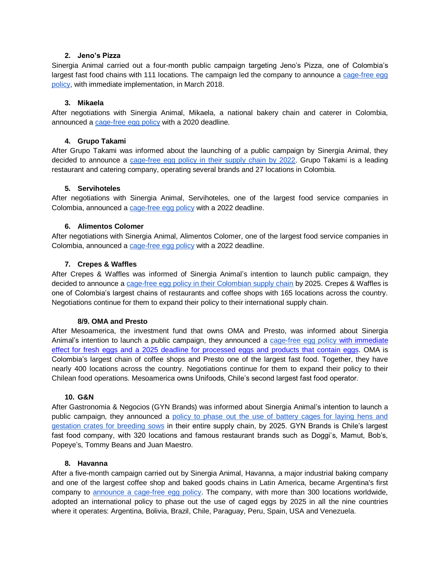## **2. Jeno's Pizza**

Sinergia Animal carried out a four-month public campaign targeting Jeno's Pizza, one of Colombia's largest fast food chains with 111 locations. The campaign led the company to announce a cage-free egg [policy,](http://www.jenospizza.com.co/info/declaracion-libresdejaula) with immediate implementation, in March 2018.

## **3. Mikaela**

After negotiations with Sinergia Animal, Mikaela, a national bakery chain and caterer in Colombia, announced a [cage-free egg policy](http://www.mikaela.com.co/compromiso-bienestar-animal/) with a 2020 deadline.

## **4. Grupo Takami**

After Grupo Takami was informed about the launching of a public campaign by Sinergia Animal, they decided to announce a [cage-free egg policy in their supply chain by 2022.](http://www.hsi.org/news/press_releases/2018/02/grupo-takami-cage-free-022118.html) Grupo Takami is a leading restaurant and catering company, operating several brands and 27 locations in Colombia.

## **5. Servihoteles**

After negotiations with Sinergia Animal, Servihoteles, one of the largest food service companies in Colombia, announced a [cage-free egg policy](http://www.servihoteles.com.co/Descargas/Politica_Huevos.pdf) with a 2022 deadline.

## **6. Alimentos Colomer**

After negotiations with Sinergia Animal, Alimentos Colomer, one of the largest food service companies in Colombia, announced a [cage-free egg policy](https://www.alimentoscolomer.com/#calidad) with a 2022 deadline.

## **7. Crepes & Waffles**

After Crepes & Waffles was informed of Sinergia Animal's intention to launch public campaign, they decided to announce a [cage-free egg policy in their Colombian supply chain](http://crepesywaffles.com.co/blog-entry/juntos-es-la-unica-forma-para-poder-lograr-grandes-cambios) by 2025. Crepes & Waffles is one of Colombia's largest chains of restaurants and coffee shops with 165 locations across the country. Negotiations continue for them to expand their policy to their international supply chain.

#### **8/9. OMA and Presto**

After Mesoamerica, the investment fund that owns OMA and Presto, was informed about Sinergia Animal's intention to launch a public campaign, they announced a [cage-free egg policy with immediate](http://www.cafeoma.com/sostenibilidad)  [effect for fresh eggs and a 2025 deadline for processed eggs and products that contain eggs.](http://presto.com.co/sostenibilidad) OMA is Colombia's largest chain of coffee shops and Presto one of the largest fast food. Together, they have nearly 400 locations across the country. Negotiations continue for them to expand their policy to their Chilean food operations. Mesoamerica owns Unifoods, Chile's second largest fast food operator.

#### **10. G&N**

After Gastronomia & Negocios (GYN Brands) was informed about Sinergia Animal's intention to launch a public campaign, they announced a [policy to phase out the use of battery cages for laying hens and](http://impresa.lasegunda.com/2017/11/21/A/I739CCVT)  [gestation crates for breeding sows](http://impresa.lasegunda.com/2017/11/21/A/I739CCVT) in their entire supply chain, by 2025. GYN Brands is Chile's largest fast food company, with 320 locations and famous restaurant brands such as Doggi's, Mamut, Bob's, Popeye's, Tommy Beans and Juan Maestro.

#### **8. Havanna**

After a five-month campaign carried out by Sinergia Animal, Havanna, a major industrial baking company and one of the largest coffee shop and baked goods chains in Latin America, became Argentina's first company to [announce a cage-free egg policy.](https://gerencia-ambiental.com/havanna-es-la-primera-empresa-argentina-en-sumarse-al-movimiento-global-de-huevos-libres-de-jaula/) The company, with more than 300 locations worldwide, adopted an international policy to phase out the use of caged eggs by 2025 in all the nine countries where it operates: Argentina, Bolivia, Brazil, Chile, Paraguay, Peru, Spain, USA and Venezuela.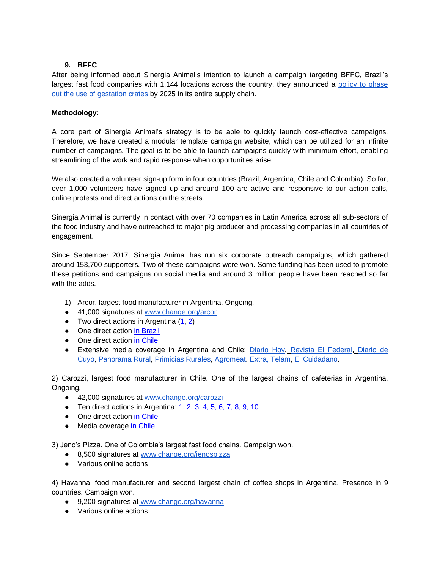# **9. BFFC**

After being informed about Sinergia Animal's intention to launch a campaign targeting BFFC, Brazil's largest fast food companies with 1,144 locations across the country, they announced a [policy to phase](https://www.bffc.com.br/nosso-negocio/nossos-fornecedores/)  [out the use of gestation crates](https://www.bffc.com.br/nosso-negocio/nossos-fornecedores/) by 2025 in its entire supply chain.

# **Methodology:**

A core part of Sinergia Animal's strategy is to be able to quickly launch cost-effective campaigns. Therefore, we have created a modular template campaign website, which can be utilized for an infinite number of campaigns. The goal is to be able to launch campaigns quickly with minimum effort, enabling streamlining of the work and rapid response when opportunities arise.

We also created a volunteer sign-up form in four countries (Brazil, Argentina, Chile and Colombia). So far, over 1,000 volunteers have signed up and around 100 are active and responsive to our action calls, online protests and direct actions on the streets.

Sinergia Animal is currently in contact with over 70 companies in Latin America across all sub-sectors of the food industry and have outreached to major pig producer and processing companies in all countries of engagement.

Since September 2017, Sinergia Animal has run six corporate outreach campaigns, which gathered around 153,700 supporters. Two of these campaigns were won. Some funding has been used to promote these petitions and campaigns on social media and around 3 million people have been reached so far with the adds.

- 1) Arcor, largest food manufacturer in Argentina. Ongoing.
- 41,000 signatures at [www.change.org/arcor](http://www.change.org/arcor)
- Two direct actions in Argentina  $(1, 2)$  $(1, 2)$
- One direct action [in Brazil](https://www.change.org/p/gabriel-abertinazzi-arcor-pare-de-contribuir-com-a-tortura-de-galinhas-em-gaiolas-arcor-arcorcruel/u/22124430)
- One direct action [in Chile](https://www.change.org/p/arcor-dejen-de-contribuir-con-la-tortura-de-gallinas-en-jaulas-arcorcruel-arcor/u/22199006)
- Extensive media coverage in Argentina and Chile: [Diario Hoy,](https://diariohoy.net/politica/novedosa-protesta-contra-la-industria-del-huevo-115210) [Revista El Federal,](http://www.elfederal.com.ar/piden-el-fin-de-anticuada-tecnica-para-la-produccion-de-huevos/) [Diario de](https://www.diariodecuyo.com.ar/suplementos/En-defensa-de-las-gallinas-20180202-0108.html)  [Cuyo,](https://www.diariodecuyo.com.ar/suplementos/En-defensa-de-las-gallinas-20180202-0108.html) [Panorama Rural,](http://panoramaruralahora.blogspot.com.br/2018/02/en-defensa-de-las-gallinas.html) [Primicias Rurales,](http://ruralprimicias.com.ar/noticia-ong-internacional-protesto-en-buenos-aires-pidiendo-fin-de-controvertida-practica--para-la-produccion-de-huevos-31705.php) [Agromeat.](http://www.agromeat.com/232655/en-defensa-de-las-gallinas) [Extra,](http://www.dib.com.ar/gestion/archivos/diario_extra/5a29fc6db6620.pdf) [Telam,](https://cablera.telam.com.ar/cable/612423/reclaman-que-dejen-de-encerrar-en-jaulas-diminutas-a-las-gallinas-para-que-pongan-huevos) El [Cuidadano.](https://www.elciudadano.cl/animal/animalistas-protestan-afuera-arcor-exigen-cese-del-uso-jaulas-produccion-huevos/12/20/)

2) Carozzi, largest food manufacturer in Chile. One of the largest chains of cafeterias in Argentina. Ongoing.

- 42,000 signatures at [www.change.org/carozzi](http://www.change.org/carozzi)
- **•** Ten direct actions in Argentina:  $1, 2, 3, 4, 5, 6, 7, 8, 9, 10$  $1, 2, 3, 4, 5, 6, 7, 8, 9, 10$  $1, 2, 3, 4, 5, 6, 7, 8, 9, 10$  $1, 2, 3, 4, 5, 6, 7, 8, 9, 10$
- One direct action [in Chile](https://www.change.org/p/carozzi-dile-no-a-la-tortura-de-gallinas-en-jaulas/u/22554678)
- Media coverage [in Chile](https://www.biobiochile.cl/noticias/nacional/region-metropolitana/2018/03/21/enjaulados-y-con-mascaras-ong-protesta-contra-forma-de-produccion-de-huevos-en-chile.shtml)

3) Jeno's Pizza. One of Colombia's largest fast food chains. Campaign won.

- 8,500 signatures at [www.change.org/jenospizza](http://www.change.org/jenospizza)
- Various online actions

4) Havanna, food manufacturer and second largest chain of coffee shops in Argentina. Presence in 9 countries. Campaign won.

- 9,200 signatures at www.change.org/havanna
- Various online actions